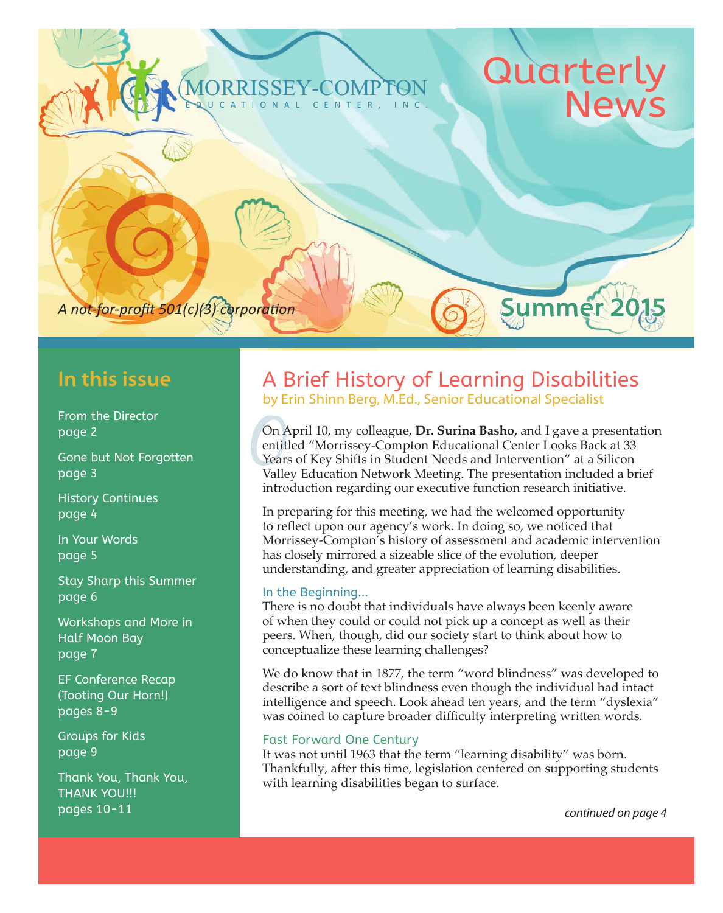### MORRISSEY-COMPTON CENTER,

# Quarter

Summer 2

A not-for-profit 501(c)(3) corporation

### **In this issue**

From the Director page 2

Gone but Not Forgotten page 3

History Continues page 4

In Your Words page 5

Stay Sharp this Summer page 6

Workshops and More in Half Moon Bay page 7

EF Conference Recap (Tooting Our Horn!) pages 8-9

Groups for Kids page 9

Thank You, Thank You, THANK YOU!!! pages 10-11 *continued on page 4*

### A Brief History of Learning Disabilities by Erin Shinn Berg, M.Ed., Senior Educational Specialist

On April 10, my colleague, **Dr. Surina Basho**, and I gave a presentation entitled "Morrissey-Compton Educational Center Looks Back at 33 Years of Key Shifts in Student Needs and Intervention" at a Silicon Valley Education entitled "Morrissey-Compton Educational Center Looks Back at 33 Years of Key Shifts in Student Needs and Intervention" at a Silicon Valley Education Network Meeting. The presentation included a brief introduction regarding our executive function research initiative.

In preparing for this meeting, we had the welcomed opportunity to reflect upon our agency's work. In doing so, we noticed that Morrissey-Compton's history of assessment and academic intervention has closely mirrored a sizeable slice of the evolution, deeper understanding, and greater appreciation of learning disabilities.

### In the Beginning...

There is no doubt that individuals have always been keenly aware of when they could or could not pick up a concept as well as their peers. When, though, did our society start to think about how to conceptualize these learning challenges?

We do know that in 1877, the term "word blindness" was developed to describe a sort of text blindness even though the individual had intact intelligence and speech. Look ahead ten years, and the term "dyslexia" was coined to capture broader difficulty interpreting written words.

### Fast Forward One Century

It was not until 1963 that the term "learning disability" was born. Thankfully, after this time, legislation centered on supporting students with learning disabilities began to surface.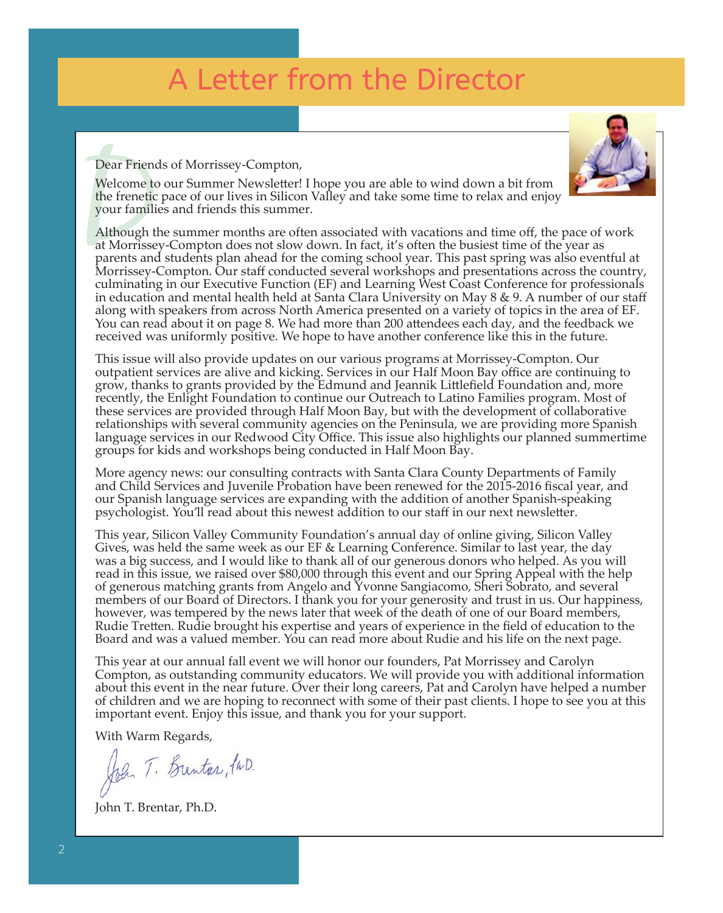Dear Friends of Morrissey-Compton,

Welcome to our Summer Newsletter! I hope you are able to wind down a bit from the frenetic pace of our lives in Silicon Valley and take some time to relax and enjoy your families and friends this summer.

Dear Friend<br>Welcome to<br>the frenetic<br>your famili<br>Although tl<br>at Morrisse<br>parents and<br>Morrissey-Although the summer months are often associated with vacations and time off, the pace of work at Morrissey-Compton does not slow down. In fact, it's often the busiest time of the year as parents and students plan ahead for the coming school year. This past spring was also eventful at Morrissey-Compton. Our staff conducted several workshops and presentations across the country, culminating in our Executive Function (EF) and Learning West Coast Conference for professionals in education and mental health held at Santa Clara University on May 8 & 9. A number of our staff along with speakers from across North America presented on a variety of topics in the area of EF. You can read about it on page 8. We had more than 200 attendees each day, and the feedback we received was uniformly positive. We hope to have another conference like this in the future.

This issue will also provide updates on our various programs at Morrissey-Compton. Our outpatient services are alive and kicking. Services in our Half Moon Bay office are continuing to grow, thanks to grants provided by the Edmund and Jeannik Littlefield Foundation and, more recently, the Enlight Foundation to continue our Outreach to Latino Families program. Most of these services are provided through Half Moon Bay, but with the development of collaborative relationships with several community agencies on the Peninsula, we are providing more Spanish language services in our Redwood City Office. This issue also highlights our planned summertime groups for kids and workshops being conducted in Half Moon Bay.

More agency news: our consulting contracts with Santa Clara County Departments of Family and Child Services and Juvenile Probation have been renewed for the 2015-2016 fiscal year, and our Spanish language services are expanding with the addition of another Spanish-speaking psychologist. You'll read about this newest addition to our staff in our next newsletter.

This year, Silicon Valley Community Foundation's annual day of online giving, Silicon Valley Gives, was held the same week as our EF & Learning Conference. Similar to last year, the day was a big success, and I would like to thank all of our generous donors who helped. As you will read in this issue, we raised over \$80,000 through this event and our Spring Appeal with the help of generous matching grants from Angelo and Yvonne Sangiacomo, Sheri Sobrato, and several members of our Board of Directors. I thank you for your generosity and trust in us. Our happiness, however, was tempered by the news later that week of the death of one of our Board members, Rudie Tretten. Rudie brought his expertise and years of experience in the field of education to the Board and was a valued member. You can read more about Rudie and his life on the next page.

This year at our annual fall event we will honor our founders, Pat Morrissey and Carolyn Compton, as outstanding community educators. We will provide you with additional information about this event in the near future. Over their long careers, Pat and Carolyn have helped a number of children and we are hoping to reconnect with some of their past clients. I hope to see you at this important event. Enjoy this issue, and thank you for your support.

With Warm Regards,

John T. Brentar, PWD.

John T. Brentar, Ph.D.

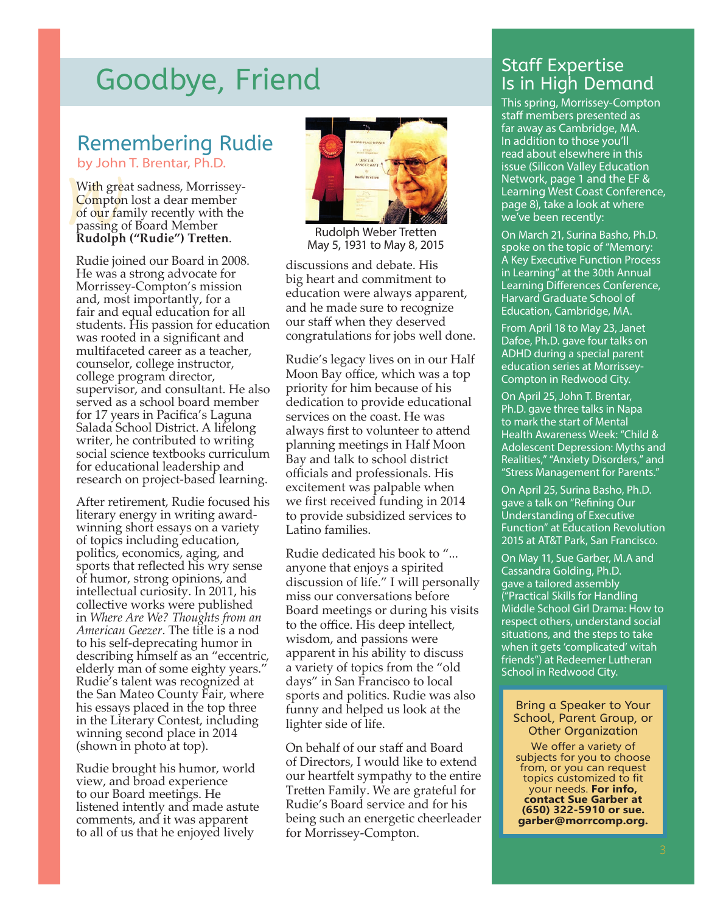# Goodbye, Friend Staff Expertise

### Remembering Rudie by John T. Brentar, Ph.D.

With great sadness, Morrisse<br>Compton lost a dear member<br>of our family recently with the<br>passing of Board Member<br>Rudolph ("Rudie") Tretten. With great sadness, Morrissey-Compton lost a dear member of our family recently with the passing of Board Member

Rudie joined our Board in 2008. He was a strong advocate for Morrissey-Compton's mission and, most importantly, for a fair and equal education for all students. His passion for education was rooted in a significant and multifaceted career as a teacher, counselor, college instructor, college program director, supervisor, and consultant. He also served as a school board member for 17 years in Pacifica's Laguna Salada School District. A lifelong writer, he contributed to writing social science textbooks curriculum for educational leadership and research on project-based learning.

After retirement, Rudie focused his literary energy in writing awardwinning short essays on a variety of topics including education, politics, economics, aging, and sports that reflected his wry sense of humor, strong opinions, and intellectual curiosity. In 2011, his collective works were published in *Where Are We? Thoughts from an American Geezer*. The title is a nod to his self-deprecating humor in describing himself as an "eccentric, elderly man of some eighty years." Rudie's talent was recognized at the San Mateo County Fair, where his essays placed in the top three in the Literary Contest, including winning second place in 2014 (shown in photo at top).

Rudie brought his humor, world view, and broad experience to our Board meetings. He listened intently and made astute comments, and it was apparent to all of us that he enjoyed lively



Rudolph Weber Tretten May 5, 1931 to May 8, 2015

discussions and debate. His big heart and commitment to education were always apparent, and he made sure to recognize our staff when they deserved congratulations for jobs well done.

Rudie's legacy lives on in our Half Moon Bay office, which was a top priority for him because of his dedication to provide educational services on the coast. He was always first to volunteer to attend planning meetings in Half Moon Bay and talk to school district officials and professionals. His excitement was palpable when we first received funding in 2014 to provide subsidized services to Latino families.

Rudie dedicated his book to "... anyone that enjoys a spirited discussion of life." I will personally miss our conversations before Board meetings or during his visits to the office. His deep intellect, wisdom, and passions were apparent in his ability to discuss a variety of topics from the "old days" in San Francisco to local sports and politics. Rudie was also funny and helped us look at the lighter side of life.

On behalf of our staff and Board of Directors, I would like to extend our heartfelt sympathy to the entire Tretten Family. We are grateful for Rudie's Board service and for his being such an energetic cheerleader for Morrissey-Compton.

# Is in High Demand

This spring, Morrissey-Compton staff members presented as far away as Cambridge, MA. In addition to those you'll read about elsewhere in this issue (Silicon Valley Education Network, page 1 and the EF & Learning West Coast Conference, page 8), take a look at where we've been recently:

On March 21, Surina Basho, Ph.D. spoke on the topic of "Memory: A Key Executive Function Process in Learning" at the 30th Annual Learning Differences Conference, Harvard Graduate School of Education, Cambridge, MA.

From April 18 to May 23, Janet Dafoe, Ph.D. gave four talks on ADHD during a special parent education series at Morrissey-Compton in Redwood City.

On April 25, John T. Brentar, Ph.D. gave three talks in Napa to mark the start of Mental Health Awareness Week: "Child & Adolescent Depression: Myths and Realities," "Anxiety Disorders," and "Stress Management for Parents."

On April 25, Surina Basho, Ph.D. gave a talk on "Refining Our Understanding of Executive Function" at Education Revolution 2015 at AT&T Park, San Francisco.

On May 11, Sue Garber, M.A and Cassandra Golding, Ph.D. gave a tailored assembly ("Practical Skills for Handling Middle School Girl Drama: How to respect others, understand social situations, and the steps to take when it gets 'complicated' witah friends") at Redeemer Lutheran School in Redwood City.

#### Bring a Speaker to Your School, Parent Group, or Other Organization

We offer a variety of subjects for you to choose from, or you can request topics customized to fit your needs. **For info, contact Sue Garber at (650) 322-5910 or sue. garber@morrcomp.org.**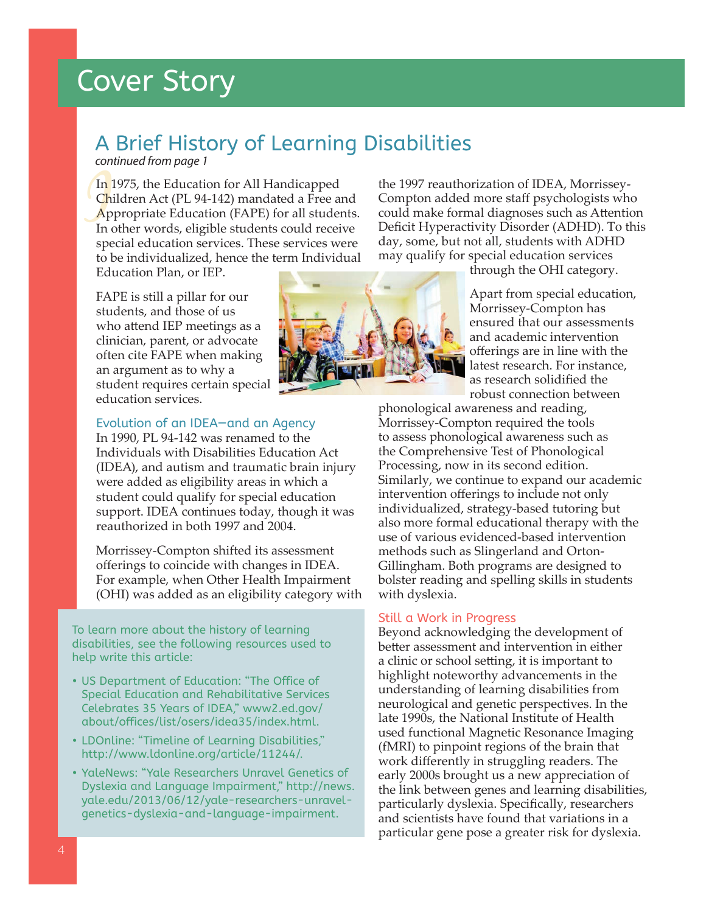# Cover Story

### A Brief History of Learning Disabilities

*continued from page 1*

In 1975, the Education for All Handicapped<br>Children Act (PL 94-142) mandated a Free an<br>Appropriate Education (FAPE) for all studen<br>In other words, eligible students could recei Children Act (PL 94-142) mandated a Free and Appropriate Education (FAPE) for all students. In other words, eligible students could receive special education services. These services were to be individualized, hence the term Individual the 1997 reauthorization of IDEA, Morrissey-Compton added more staff psychologists who could make formal diagnoses such as Attention Deficit Hyperactivity Disorder (ADHD). To this day, some, but not all, students with ADHD may qualify for special education services

Education Plan, or IEP.

FAPE is still a pillar for our students, and those of us who attend IEP meetings as a clinician, parent, or advocate often cite FAPE when making an argument as to why a student requires certain special education services.



through the OHI category.

Apart from special education, Morrissey-Compton has ensured that our assessments and academic intervention offerings are in line with the latest research. For instance, as research solidified the robust connection between

### Evolution of an IDEA—and an Agency

In 1990, PL 94-142 was renamed to the Individuals with Disabilities Education Act (IDEA), and autism and traumatic brain injury were added as eligibility areas in which a student could qualify for special education support. IDEA continues today, though it was reauthorized in both 1997 and 2004.

Morrissey-Compton shifted its assessment offerings to coincide with changes in IDEA. For example, when Other Health Impairment (OHI) was added as an eligibility category with

To learn more about the history of learning disabilities, see the following resources used to help write this article:

- US Department of Education: "The Office of Special Education and Rehabilitative Services Celebrates 35 Years of IDEA," www2.ed.gov/ about/offices/list/osers/idea35/index.html.
- LDOnline: "Timeline of Learning Disabilities," http://www.ldonline.org/article/11244/.
- YaleNews: "Yale Researchers Unravel Genetics of Dyslexia and Language Impairment," http://news. yale.edu/2013/06/12/yale-researchers-unravelgenetics-dyslexia-and-language-impairment.

phonological awareness and reading, Morrissey-Compton required the tools to assess phonological awareness such as the Comprehensive Test of Phonological Processing, now in its second edition. Similarly, we continue to expand our academic intervention offerings to include not only individualized, strategy-based tutoring but also more formal educational therapy with the use of various evidenced-based intervention methods such as Slingerland and Orton-Gillingham. Both programs are designed to bolster reading and spelling skills in students with dyslexia.

### Still a Work in Progress

Beyond acknowledging the development of better assessment and intervention in either a clinic or school setting, it is important to highlight noteworthy advancements in the understanding of learning disabilities from neurological and genetic perspectives. In the late 1990s, the National Institute of Health used functional Magnetic Resonance Imaging (fMRI) to pinpoint regions of the brain that work differently in struggling readers. The early 2000s brought us a new appreciation of the link between genes and learning disabilities, particularly dyslexia. Specifically, researchers and scientists have found that variations in a particular gene pose a greater risk for dyslexia.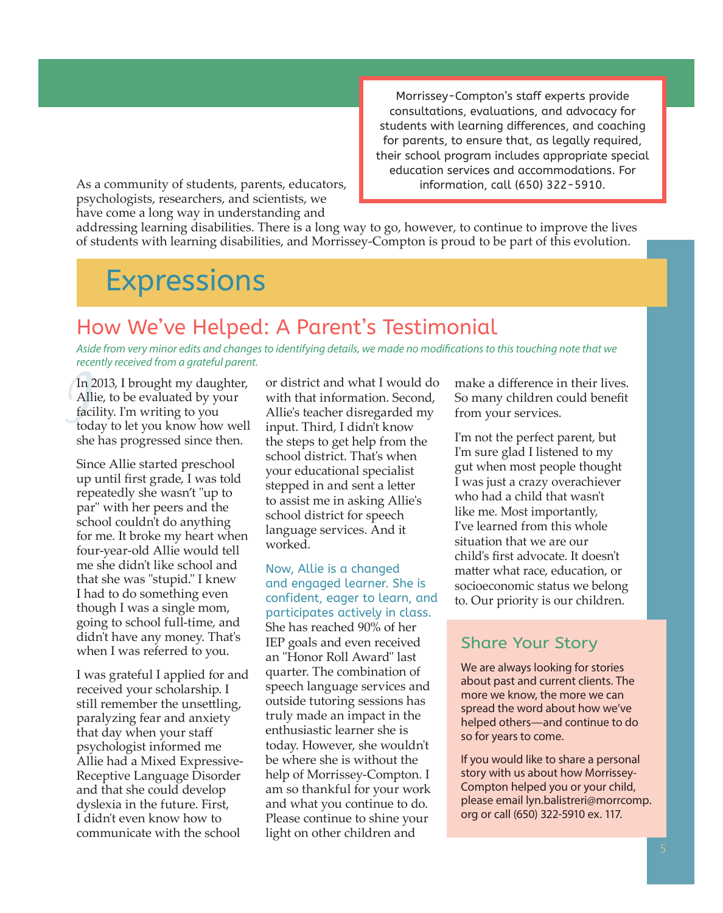Morrissey-Compton's staff experts provide consultations, evaluations, and advocacy for students with learning differences, and coaching for parents, to ensure that, as legally required, their school program includes appropriate special education services and accommodations. For information, call (650) 322-5910.

As a community of students, parents, educators, psychologists, researchers, and scientists, we have come a long way in understanding and

addressing learning disabilities. There is a long way to go, however, to continue to improve the lives of students with learning disabilities, and Morrissey-Compton is proud to be part of this evolution.

# **Expressions**

### How We've Helped: A Parent's Testimonial

*Aside from very minor edits and changes to identifying details, we made no modifications to this touching note that we recently received from a grateful parent.*

In 2<br>Alli<br>faci<br>tod<br>tod<br>she In 2013, I brought my daughter, Allie, to be evaluated by your facility. I'm writing to you today to let you know how well she has progressed since then.

Since Allie started preschool up until first grade, I was told repeatedly she wasn't "up to par" with her peers and the school couldn't do anything for me. It broke my heart when four-year-old Allie would tell me she didn't like school and that she was "stupid." I knew I had to do something even though I was a single mom, going to school full-time, and didn't have any money. That's when I was referred to you.

I was grateful I applied for and received your scholarship. I still remember the unsettling, paralyzing fear and anxiety that day when your staff psychologist informed me Allie had a Mixed Expressive-Receptive Language Disorder and that she could develop dyslexia in the future. First, I didn't even know how to communicate with the school

or district and what I would do with that information. Second, Allie's teacher disregarded my input. Third, I didn't know the steps to get help from the school district. That's when your educational specialist stepped in and sent a letter to assist me in asking Allie's school district for speech language services. And it worked.

Now, Allie is a changed and engaged learner. She is confident, eager to learn, and participates actively in class. She has reached 90% of her IEP goals and even received an "Honor Roll Award" last quarter. The combination of speech language services and outside tutoring sessions has truly made an impact in the enthusiastic learner she is today. However, she wouldn't be where she is without the help of Morrissey-Compton. I am so thankful for your work and what you continue to do. Please continue to shine your light on other children and

make a difference in their lives. So many children could benefit from your services.

I'm not the perfect parent, but I'm sure glad I listened to my gut when most people thought I was just a crazy overachiever who had a child that wasn't like me. Most importantly, I've learned from this whole situation that we are our child's first advocate. It doesn't matter what race, education, or socioeconomic status we belong to. Our priority is our children.

### Share Your Story

We are always looking for stories about past and current clients. The more we know, the more we can spread the word about how we've helped others—and continue to do so for years to come.

If you would like to share a personal story with us about how Morrissey-Compton helped you or your child, please email lyn.balistreri@morrcomp. org or call (650) 322-5910 ex. 117.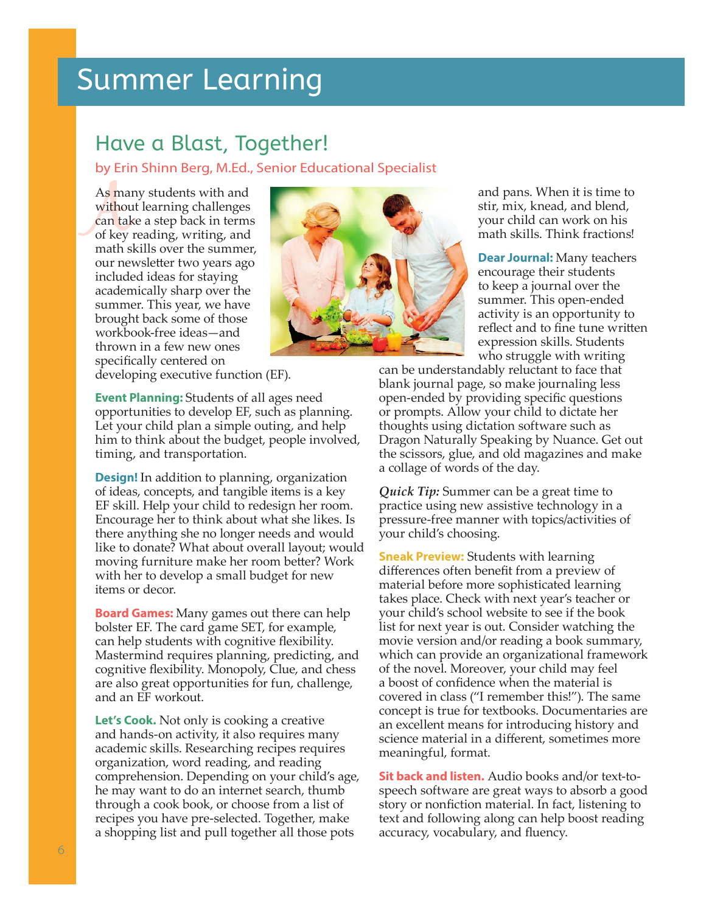# Summer Learning

### Have a Blast, Together!

by Erin Shinn Berg, M.Ed., Senior Educational Specialist

As mai<br>withou<br>can tak<br>of key<br>math s As many students with and without learning challenges can take a step back in terms of key reading, writing, and math skills over the summer, our newsletter two years ago included ideas for staying academically sharp over the summer. This year, we have brought back some of those workbook-free ideas—and thrown in a few new ones specifically centered on



and pans. When it is time to stir, mix, knead, and blend, your child can work on his math skills. Think fractions!

**Dear Journal:** Many teachers encourage their students to keep a journal over the summer. This open-ended activity is an opportunity to reflect and to fine tune written expression skills. Students who struggle with writing

can be understandably reluctant to face that blank journal page, so make journaling less open-ended by providing specific questions or prompts. Allow your child to dictate her thoughts using dictation software such as Dragon Naturally Speaking by Nuance. Get out the scissors, glue, and old magazines and make a collage of words of the day.

*Quick Tip:* Summer can be a great time to practice using new assistive technology in a pressure-free manner with topics/activities of your child's choosing.

**Sneak Preview:** Students with learning differences often benefit from a preview of material before more sophisticated learning takes place. Check with next year's teacher or your child's school website to see if the book list for next year is out. Consider watching the movie version and/or reading a book summary, which can provide an organizational framework of the novel. Moreover, your child may feel a boost of confidence when the material is covered in class ("I remember this!"). The same concept is true for textbooks. Documentaries are an excellent means for introducing history and science material in a different, sometimes more meaningful, format.

**Sit back and listen.** Audio books and/or text-tospeech software are great ways to absorb a good story or nonfiction material. In fact, listening to text and following along can help boost reading accuracy, vocabulary, and fluency.

developing executive function (EF).

**Event Planning:** Students of all ages need opportunities to develop EF, such as planning. Let your child plan a simple outing, and help him to think about the budget, people involved, timing, and transportation.

**Design!** In addition to planning, organization of ideas, concepts, and tangible items is a key EF skill. Help your child to redesign her room. Encourage her to think about what she likes. Is there anything she no longer needs and would like to donate? What about overall layout; would moving furniture make her room better? Work with her to develop a small budget for new items or decor.

**Board Games:** Many games out there can help bolster EF. The card game SET, for example, can help students with cognitive flexibility. Mastermind requires planning, predicting, and cognitive flexibility. Monopoly, Clue, and chess are also great opportunities for fun, challenge, and an EF workout.

**Let's Cook.** Not only is cooking a creative and hands-on activity, it also requires many academic skills. Researching recipes requires organization, word reading, and reading comprehension. Depending on your child's age, he may want to do an internet search, thumb through a cook book, or choose from a list of recipes you have pre-selected. Together, make a shopping list and pull together all those pots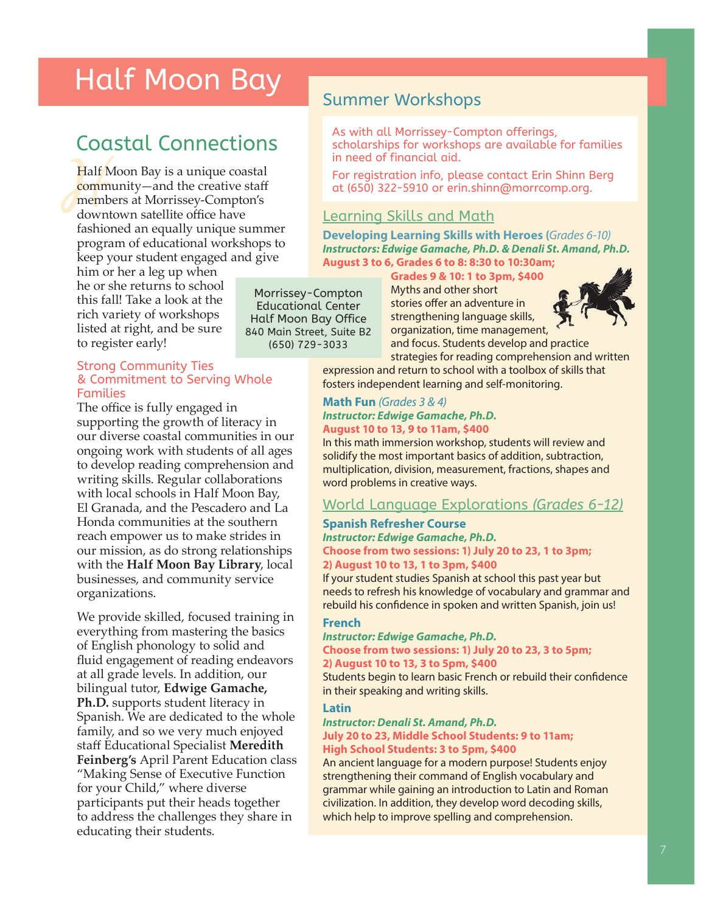# Half Moon Bay<br>Summer Workshops

# Coastal Connections

Half I<br>
comm<br>
memb<br>
down<br>
fashic Half Moon Bay is a unique coastal community—and the creative staff members at Morrissey-Compton's downtown satellite office have fashioned an equally unique summer program of educational workshops to keep your student engaged and give

him or her a leg up when he or she returns to school this fall! Take a look at the rich variety of workshops listed at right, and be sure to register early!

### Strong Community Ties & Commitment to Serving Whole Families

The office is fully engaged in supporting the growth of literacy in our diverse coastal communities in our ongoing work with students of all ages to develop reading comprehension and writing skills. Regular collaborations with local schools in Half Moon Bay, El Granada, and the Pescadero and La Honda communities at the southern reach empower us to make strides in our mission, as do strong relationships with the **Half Moon Bay Library**, local businesses, and community service organizations.

We provide skilled, focused training in everything from mastering the basics of English phonology to solid and fluid engagement of reading endeavors at all grade levels. In addition, our bilingual tutor, **Edwige Gamache, Ph.D.** supports student literacy in Spanish. We are dedicated to the whole family, and so we very much enjoyed staff Educational Specialist **Meredith Feinberg's** April Parent Education class "Making Sense of Executive Function for your Child," where diverse participants put their heads together to address the challenges they share in educating their students.

As with all Morrissey-Compton offerings, scholarships for workshops are available for families in need of financial aid.

For registration info, please contact Erin Shinn Berg at (650) 322-5910 or erin.shinn@morrcomp.org.

### Learning Skills and Math

**Developing Learning Skills with Heroes (***Grades 6-10) Instructors: Edwige Gamache, Ph.D. & Denali St. Amand, Ph.D.* **August 3 to 6, Grades 6 to 8: 8:30 to 10:30am;** 

**Grades 9 & 10: 1 to 3pm, \$400** 

Morrissey-Compton Educational Center Half Moon Bay Office 840 Main Street, Suite B2 (650) 729-3033

Myths and other short stories offer an adventure in strengthening language skills, organization, time management, and focus. Students develop and practice



strategies for reading comprehension and written expression and return to school with a toolbox of skills that fosters independent learning and self-monitoring.

### **Math Fun** *(Grades 3 & 4) Instructor: Edwige Gamache, Ph.D.*  **August 10 to 13, 9 to 11am, \$400**

In this math immersion workshop, students will review and solidify the most important basics of addition, subtraction, multiplication, division, measurement, fractions, shapes and word problems in creative ways.

### World Language Explorations *(Grades 6-12)*

### **Spanish Refresher Course**

#### *Instructor: Edwige Gamache, Ph.D.*  **Choose from two sessions: 1) July 20 to 23, 1 to 3pm; 2) August 10 to 13, 1 to 3pm, \$400**

If your student studies Spanish at school this past year but needs to refresh his knowledge of vocabulary and grammar and rebuild his confidence in spoken and written Spanish, join us!

### **French**

#### *Instructor: Edwige Gamache, Ph.D.*  **Choose from two sessions: 1) July 20 to 23, 3 to 5pm; 2) August 10 to 13, 3 to 5pm, \$400**

Students begin to learn basic French or rebuild their confidence in their speaking and writing skills.

### **Latin**

#### *Instructor: Denali St. Amand, Ph.D.* **July 20 to 23, Middle School Students: 9 to 11am; High School Students: 3 to 5pm, \$400**

An ancient language for a modern purpose! Students enjoy strengthening their command of English vocabulary and grammar while gaining an introduction to Latin and Roman civilization. In addition, they develop word decoding skills, which help to improve spelling and comprehension.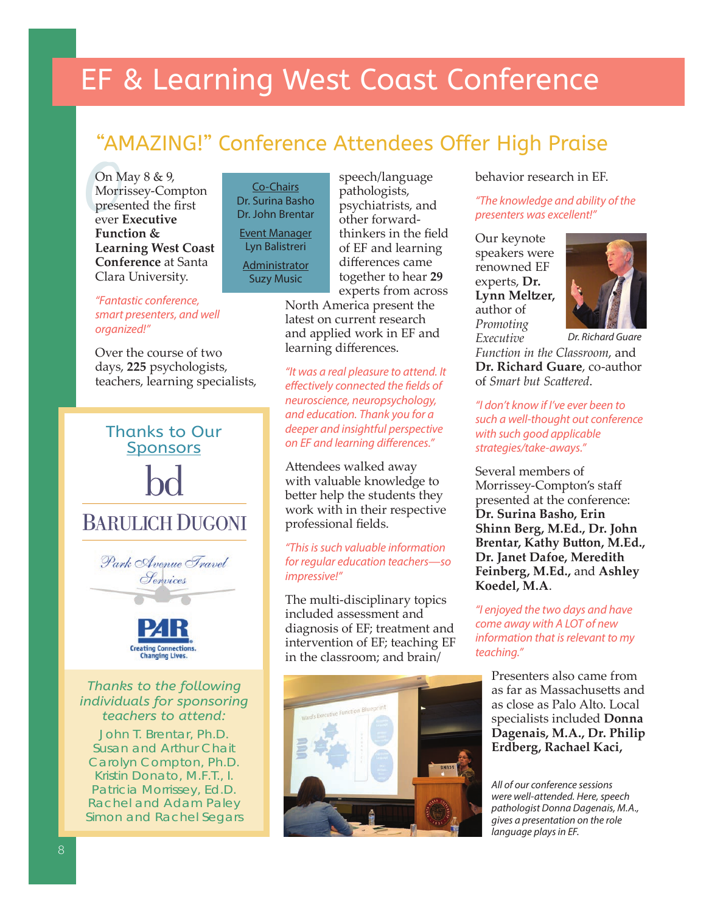# EF & Learning West Coast Conference

### "AMAZING!" Conference Attendees Offer High Praise

On M<br>Morri<br>prese<br>ever l On May 8 & 9, Morrissey-Compton presented the first ever **Executive Function & Learning West Coast Conference** at Santa Clara University.

*"Fantastic conference, smart presenters, and well organized!"*

Over the course of two days, **225** psychologists, teachers, learning specialists,

Thanks to Our **Sponsors** 

# **BARULICH DUGONI**



### *Thanks to the following individuals for sponsoring teachers to attend:*

**Creating Connections. Changing Lives.** 

John T. Brentar, Ph.D. Susan and Arthur Chait Carolyn Compton, Ph.D. Kristin Donato, M.F.T., I. Patricia Morrissey, Ed.D. Rachel and Adam Paley Simon and Rachel Segars

Co-Chairs Dr. Surina Basho Dr. John Brentar Event Manager Lyn Balistreri **Administrator** Suzy Music

speech/language pathologists, psychiatrists, and other forwardthinkers in the field of EF and learning differences came together to hear **29**  experts from across

North America present the latest on current research and applied work in EF and learning differences.

*"It was a real pleasure to attend. It eff ectively connected the fi elds of neuroscience, neuropsychology, and education. Thank you for a deeper and insightful perspective*  **on EF and learning differences."** 

Attendees walked away with valuable knowledge to better help the students they work with in their respective professional fields.

### *"This is such valuable information for regular education teachers—so impressive!"*

The multi-disciplinary topics included assessment and diagnosis of EF; treatment and intervention of EF; teaching EF in the classroom; and brain/



### behavior research in EF.

*"The knowledge and ability of the presenters was excellent!"*

Our keynote speakers were renowned EF experts, **Dr. Lynn Meltzer,** author of *Promoting Executive* 



*Function in the Classroom*, and **Dr. Richard Guare**, co-author of *Smart but Scattered. Dr. Richard Guare*

*"I don't know if I've ever been to such a well-thought out conference with such good applicable strategies/take-aways."*

Several members of Morrissey-Compton's staff presented at the conference: **Dr. Surina Basho, Erin Shinn Berg, M.Ed., Dr. John Brentar, Kathy Button, M.Ed., Dr. Janet Dafoe, Meredith Feinberg, M.Ed.,** and **Ashley Koedel, M.A**.

*"I enjoyed the two days and have come away with A LOT of new information that is relevant to my teaching."*

Presenters also came from as far as Massachusetts and as close as Palo Alto. Local specialists included **Donna Dagenais, M.A., Dr. Philip Erdberg, Rachael Kaci,** 

*All of our conference sessions were well-attended. Here, speech pathologist Donna Dagenais, M.A., gives a presentation on the role language plays in EF.*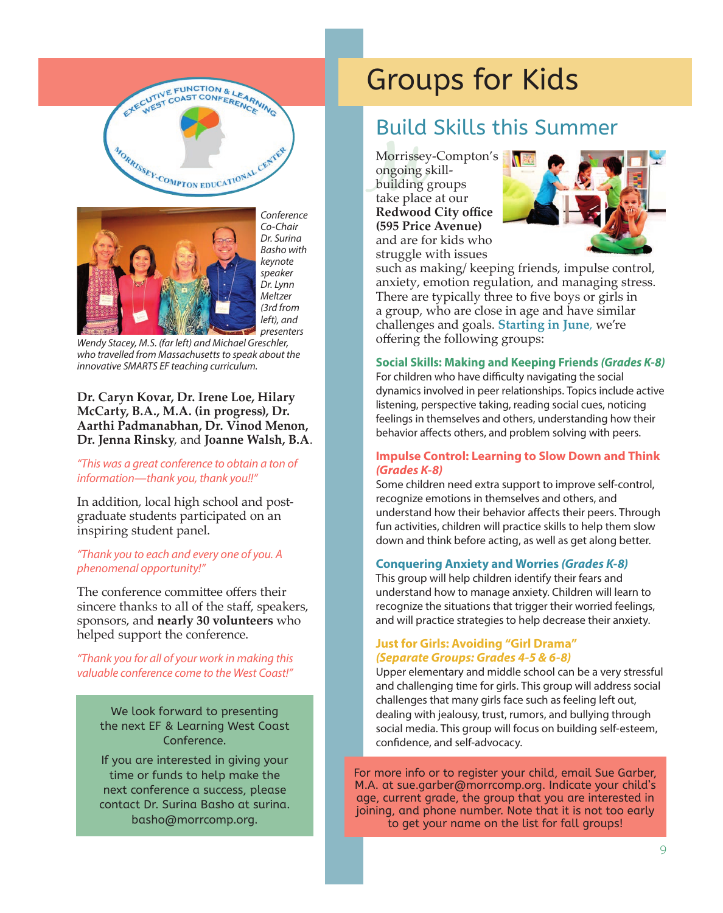



*Conference Co-Chair Dr. Surina Basho with keynote speaker Dr. Lynn Meltzer (3rd from left), and* 

*presenters Wendy Stacey, M.S. (far left) and Michael Greschler, who travelled from Massachusetts to speak about the innovative SMARTS EF teaching curriculum.* 

### **Dr. Caryn Kovar, Dr. Irene Loe, Hilary McCarty, B.A., M.A. (in progress), Dr. Aarthi Padmanabhan, Dr. Vinod Menon, Dr. Jenna Rinsky**, and **Joanne Walsh, B.A**.

### *"This was a great conference to obtain a ton of information—thank you, thank you!!"*

In addition, local high school and postgraduate students participated on an inspiring student panel.

### *"Thank you to each and every one of you. A phenomenal opportunity!"*

The conference committee offers their sincere thanks to all of the staff, speakers, sponsors, and **nearly 30 volunteers** who helped support the conference.

### *"Thank you for all of your work in making this valuable conference come to the West Coast!"*

We look forward to presenting the next EF & Learning West Coast Conference.

If you are interested in giving your time or funds to help make the next conference a success, please contact Dr. Surina Basho at surina. basho@morrcomp.org.

# Groups for Kids

### Build Skills this Summer

Morrisse<br>ongoing<br>building<br>take plac Morrissey-Compton's ongoing skillbuilding groups take place at our **Redwood City office (595 Price Avenue)** and are for kids who struggle with issues



such as making/ keeping friends, impulse control, anxiety, emotion regulation, and managing stress. There are typically three to five boys or girls in a group, who are close in age and have similar challenges and goals. **Starting in June**, we're offering the following groups:

### **Social Skills: Making and Keeping Friends** *(Grades K-8)*

For children who have difficulty navigating the social dynamics involved in peer relationships. Topics include active listening, perspective taking, reading social cues, noticing feelings in themselves and others, understanding how their behavior affects others, and problem solving with peers.

### **Impulse Control: Learning to Slow Down and Think**  *(Grades K-8)*

Some children need extra support to improve self-control, recognize emotions in themselves and others, and understand how their behavior affects their peers. Through fun activities, children will practice skills to help them slow down and think before acting, as well as get along better.

### **Conquering Anxiety and Worries** *(Grades K-8)*

This group will help children identify their fears and understand how to manage anxiety. Children will learn to recognize the situations that trigger their worried feelings, and will practice strategies to help decrease their anxiety.

#### **Just for Girls: Avoiding "Girl Drama"**  *(Separate Groups: Grades 4-5 & 6-8)*

Upper elementary and middle school can be a very stressful and challenging time for girls. This group will address social challenges that many girls face such as feeling left out, dealing with jealousy, trust, rumors, and bullying through social media. This group will focus on building self-esteem, confidence, and self-advocacy.

For more info or to register your child, email Sue Garber, M.A. at sue.garber@morrcomp.org. Indicate your child's age, current grade, the group that you are interested in joining, and phone number. Note that it is not too early to get your name on the list for fall groups!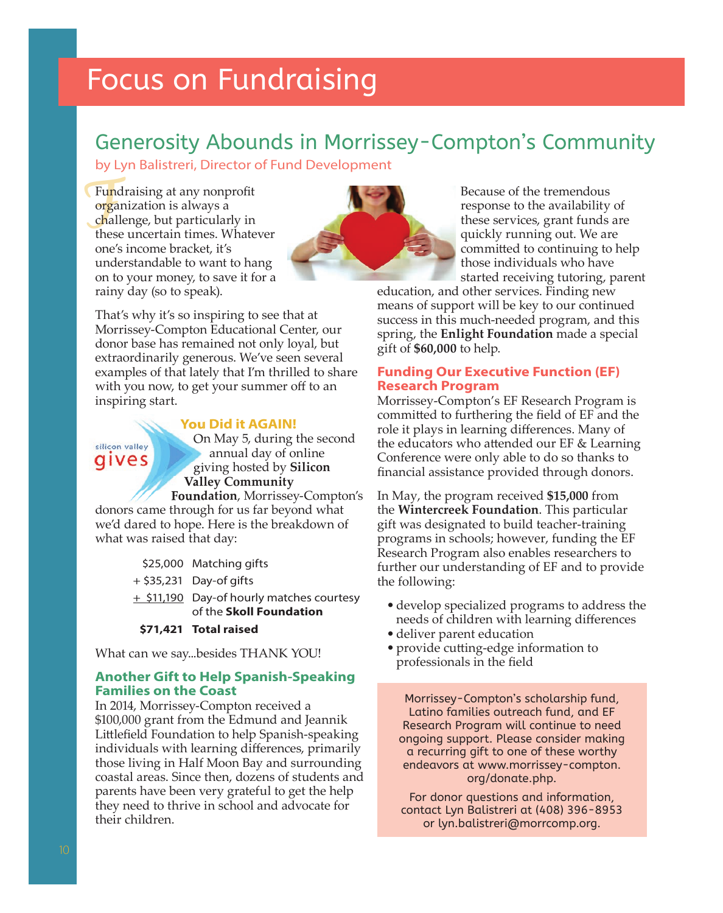## Generosity Abounds in Morrissey-Compton's Community

by Lyn Balistreri, Director of Fund Development

Fund<br>
orga<br>
chall<br>
these Fundraising at any nonprofit or<mark>g</mark>anization is always a challenge, but particularly in these uncertain times. Whatever one's income bracket, it's understandable to want to hang on to your money, to save it for a rainy day (so to speak).



Because of the tremendous response to the availability of these services, grant funds are quickly running out. We are committed to continuing to help those individuals who have started receiving tutoring, parent

education, and other services. Finding new means of support will be key to our continued success in this much-needed program, and this spring, the **Enlight Foundation** made a special gift of **\$60,000** to help.

### **Funding Our Executive Function (EF) Research Program**

Morrissey-Compton's EF Research Program is committed to furthering the field of EF and the role it plays in learning differences. Many of the educators who attended our  $EF \&$  Learning Conference were only able to do so thanks to financial assistance provided through donors.

In May, the program received **\$15,000** from the **Wintercreek Foundation**. This particular gift was designated to build teacher-training programs in schools; however, funding the EF Research Program also enables researchers to further our understanding of EF and to provide the following:

- develop specialized programs to address the needs of children with learning differences
- deliver parent education
- provide cutting-edge information to professionals in the field

Morrissey-Compton's scholarship fund, Latino families outreach fund, and EF Research Program will continue to need ongoing support. Please consider making a recurring gift to one of these worthy endeavors at www.morrissey-compton. org/donate.php.

For donor questions and information, contact Lyn Balistreri at (408) 396-8953 or lyn.balistreri@morrcomp.org.

That's why it's so inspiring to see that at Morrissey-Compton Educational Center, our donor base has remained not only loyal, but extraordinarily generous. We've seen several examples of that lately that I'm thrilled to share with you now, to get your summer off to an inspiring start.

### **You Did it AGAIN!**



 On May 5, during the second annual day of online giving hosted by **Silicon Valley Community** 

**Foundation**, Morrissey-Compton's donors came through for us far beyond what we'd dared to hope. Here is the breakdown of what was raised that day:

|  | \$25,000 Matching gifts |  |
|--|-------------------------|--|
|--|-------------------------|--|

- + \$35,231 Day-of gifts
- + \$11,190 Day-of hourly matches courtesy of the **Skoll Foundation**
- **\$71,421 Total raised**

What can we say...besides THANK YOU!

### **Another Gift to Help Spanish-Speaking Families on the Coast**

In 2014, Morrissey-Compton received a \$100,000 grant from the Edmund and Jeannik Littlefield Foundation to help Spanish-speaking individuals with learning differences, primarily those living in Half Moon Bay and surrounding coastal areas. Since then, dozens of students and parents have been very grateful to get the help they need to thrive in school and advocate for their children.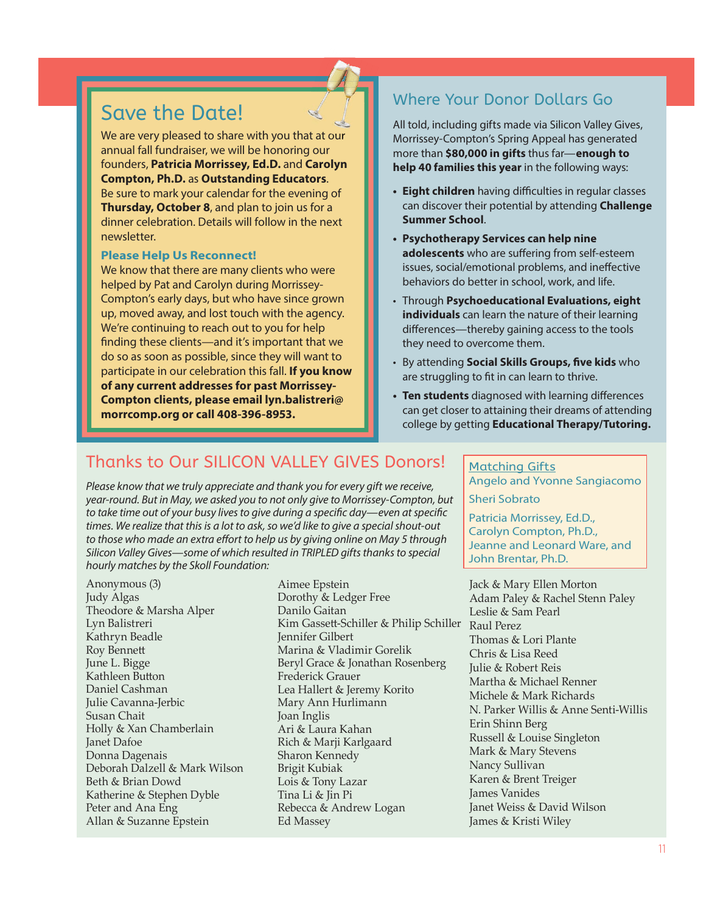### Save the Date!

We are very pleased to share with you that at our annual fall fundraiser, we will be honoring our founders, **Patricia Morrissey, Ed.D.** and **Carolyn Compton, Ph.D.** as **Outstanding Educators**. Be sure to mark your calendar for the evening of **Thursday, October 8**, and plan to join us for a dinner celebration. Details will follow in the next newsletter.

#### **Please Help Us Reconnect!**

We know that there are many clients who were helped by Pat and Carolyn during Morrissey-Compton's early days, but who have since grown up, moved away, and lost touch with the agency. We're continuing to reach out to you for help finding these clients—and it's important that we do so as soon as possible, since they will want to participate in our celebration this fall. **If you know of any current addresses for past Morrissey-Compton clients, please email lyn.balistreri@ morrcomp.org or call 408-396-8953.**

### Where Your Donor Dollars Go

All told, including gifts made via Silicon Valley Gives, Morrissey-Compton's Spring Appeal has generated more than **\$80,000 in gifts** thus far—**enough to help 40 families this year** in the following ways:

- **Eight children** having difficulties in regular classes can discover their potential by attending **Challenge Summer School**.
- **Psychotherapy Services can help nine adolescents** who are suffering from self-esteem issues, social/emotional problems, and ineffective behaviors do better in school, work, and life.
- Through **Psychoeducational Evaluations, eight individuals** can learn the nature of their learning differences—thereby gaining access to the tools they need to overcome them.
- By attending **Social Skills Groups, five kids** who are struggling to fit in can learn to thrive.
- **Ten students** diagnosed with learning differences can get closer to attaining their dreams of attending college by getting **Educational Therapy/Tutoring.**

### Thanks to Our SILICON VALLEY GIVES Donors!

*Please know that we truly appreciate and thank you for every gift we receive, year-round. But in May, we asked you to not only give to Morrissey-Compton, but*  to take time out of your busy lives to give during a specific day—even at specific *times. We realize that this is a lot to ask, so we'd like to give a special shout-out*  to those who made an extra effort to help us by giving online on May 5 through *Silicon Valley Gives—some of which resulted in TRIPLED gifts thanks to special hourly matches by the Skoll Foundation:*

Anonymous (3) Judy Algas Theodore & Marsha Alper Lyn Balistreri Kathryn Beadle Roy Bennett June L. Bigge Kathleen Button Daniel Cashman Julie Cavanna-Jerbic Susan Chait Holly & Xan Chamberlain Janet Dafoe Donna Dagenais Deborah Dalzell & Mark Wilson Beth & Brian Dowd Katherine & Stephen Dyble Peter and Ana Eng Allan & Suzanne Epstein

Aimee Epstein Dorothy & Ledger Free Danilo Gaitan Kim Gassett -Schiller & Philip Schiller Raul Perez Jennifer Gilbert Marina & Vladimir Gorelik Beryl Grace & Jonathan Rosenberg Frederick Grauer Lea Hallert & Jeremy Korito Mary Ann Hurlimann Joan Inglis Ari & Laura Kahan Rich & Marji Karlgaard Sharon Kennedy Brigit Kubiak Lois & Tony Lazar Tina Li & Jin Pi Rebecca & Andrew Logan Ed Massey

#### Matching Gifts

Angelo and Yvonne Sangiacomo Sheri Sobrato

Patricia Morrissey, Ed.D., Carolyn Compton, Ph.D., Jeanne and Leonard Ware, and John Brentar, Ph.D.

Jack & Mary Ellen Morton Adam Paley & Rachel Stenn Paley Leslie & Sam Pearl Thomas & Lori Plante Chris & Lisa Reed Julie & Robert Reis Martha & Michael Renner Michele & Mark Richards N. Parker Willis & Anne Senti-Willis Erin Shinn Berg Russell & Louise Singleton Mark & Mary Stevens Nancy Sullivan Karen & Brent Treiger James Vanides Janet Weiss & David Wilson James & Kristi Wiley